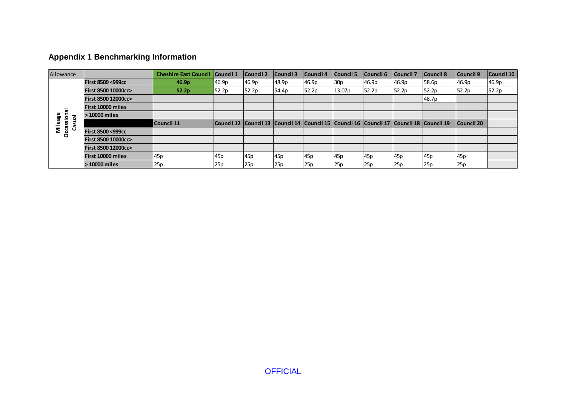## **Appendix 1 Benchmarking Information**

| Allowance       |                               | <b>Cheshire East Council</b> | <b>Council 1</b> | Council <sub>2</sub> | <b>Council 3</b> | Council 4 | <b>Council 5</b>                                                                                      | <b>Council 6</b> | Council <sub>7</sub> | Council 8 | Council 9  | Council 10 |
|-----------------|-------------------------------|------------------------------|------------------|----------------------|------------------|-----------|-------------------------------------------------------------------------------------------------------|------------------|----------------------|-----------|------------|------------|
|                 | <b>First 8500 &lt;999cc</b>   | 46.9 <sub>p</sub>            | 46.9p            | 46.9p                | 48.9p            | 46.9p     | 30p                                                                                                   | 46.9p            | 46.9p                | 58.6p     | 46.9p      | 46.9p      |
|                 | <b>First 8500 10000cc&gt;</b> | 52.2p                        | 52.2p            | 52.2p                | 54.4p            | 52.2p     | 13.07p                                                                                                | 52.2p            | 52.2p                | 52.2p     | 52.2p      | 52.2p      |
|                 | <b>First 8500 12000cc&gt;</b> |                              |                  |                      |                  |           |                                                                                                       |                  |                      | 48.7p     |            |            |
|                 | <b>First 10000 miles</b>      |                              |                  |                      |                  |           |                                                                                                       |                  |                      |           |            |            |
| sional<br>ᢛ     | 10000 miles                   |                              |                  |                      |                  |           |                                                                                                       |                  |                      |           |            |            |
| Mileage<br>Casu |                               | <b>Council 11</b>            |                  |                      |                  |           | Council 12   Council 13   Council 14   Council 15   Council 16   Council 17   Council 18   Council 19 |                  |                      |           | Council 20 |            |
| ៜ<br>$\circ$    | <b>First 8500 &lt;999cc</b>   |                              |                  |                      |                  |           |                                                                                                       |                  |                      |           |            |            |
|                 | <b>First 8500 10000cc&gt;</b> |                              |                  |                      |                  |           |                                                                                                       |                  |                      |           |            |            |
|                 | <b>First 8500 12000cc&gt;</b> |                              |                  |                      |                  |           |                                                                                                       |                  |                      |           |            |            |
|                 | <b>First 10000 miles</b>      | 45p                          | 45p              | 45p                  | 45p              | 45p       | 45 <sub>p</sub>                                                                                       | 45p              | 45p                  | 45p       | 45p        |            |
|                 | > 10000 miles                 | 25p                          | 25p              | 25p                  | 25p              | 25p       | 25p                                                                                                   | 25p              | 25p                  | 25p       | 25p        |            |